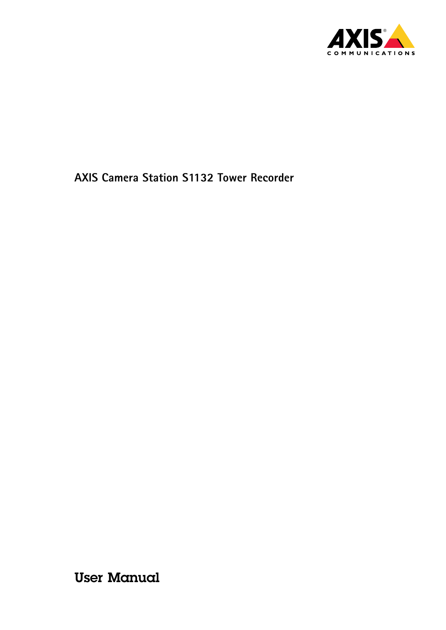

User Manual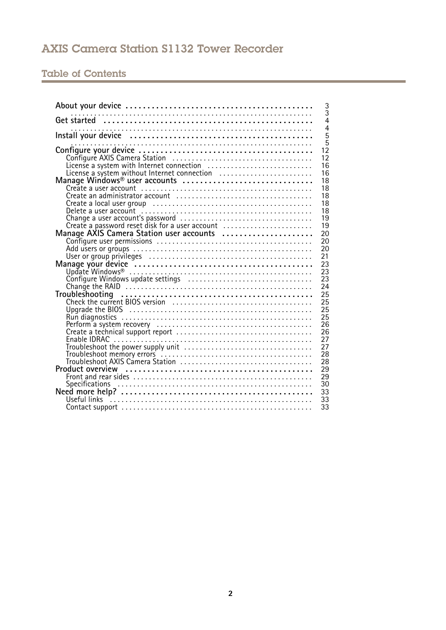## Table of Contents

| 3<br>$\overline{3}$                                                                                                                                                                                                                                |
|----------------------------------------------------------------------------------------------------------------------------------------------------------------------------------------------------------------------------------------------------|
| $\overline{4}$                                                                                                                                                                                                                                     |
| $\overline{4}$<br>Install your device <b>with an accommodal contract of the set of the set of the set of the set of the set of the</b>                                                                                                             |
| $\overline{5}$<br>$\overline{5}$                                                                                                                                                                                                                   |
| $1\overline{2}$                                                                                                                                                                                                                                    |
| 12                                                                                                                                                                                                                                                 |
| 16                                                                                                                                                                                                                                                 |
| License a system with Internet connection<br>License a system without Internet connection<br>Manage Windows® user accounts<br>Create a user account<br>16                                                                                          |
| 18<br>18                                                                                                                                                                                                                                           |
| 18                                                                                                                                                                                                                                                 |
| 18                                                                                                                                                                                                                                                 |
| 18<br>Create a local user group<br>Change a user account<br>Change a user account<br>Create a password reset disk for a user account<br>Manage AXIS Camera Station user accounts<br>Configure user permissions<br>Manage your device<br>Manage you |
| 19                                                                                                                                                                                                                                                 |
| 19                                                                                                                                                                                                                                                 |
| 20                                                                                                                                                                                                                                                 |
| 20<br>20                                                                                                                                                                                                                                           |
| 21                                                                                                                                                                                                                                                 |
| 23                                                                                                                                                                                                                                                 |
| 23                                                                                                                                                                                                                                                 |
| 23                                                                                                                                                                                                                                                 |
| Configure Windows update settings<br>Change the RAID<br>Change the RAID<br>24                                                                                                                                                                      |
| 25                                                                                                                                                                                                                                                 |
| 25                                                                                                                                                                                                                                                 |
| 25                                                                                                                                                                                                                                                 |
| 25                                                                                                                                                                                                                                                 |
| 26<br>26                                                                                                                                                                                                                                           |
| Upgrade the BIOS<br>Run diagnostics<br>Perform a system recovery<br>Create a technical support report<br>Enable IDRAC<br>27                                                                                                                        |
| 27                                                                                                                                                                                                                                                 |
| 28                                                                                                                                                                                                                                                 |
| 28                                                                                                                                                                                                                                                 |
| 29                                                                                                                                                                                                                                                 |
| 29                                                                                                                                                                                                                                                 |
| 30                                                                                                                                                                                                                                                 |
| 33<br>33                                                                                                                                                                                                                                           |
| 33                                                                                                                                                                                                                                                 |
|                                                                                                                                                                                                                                                    |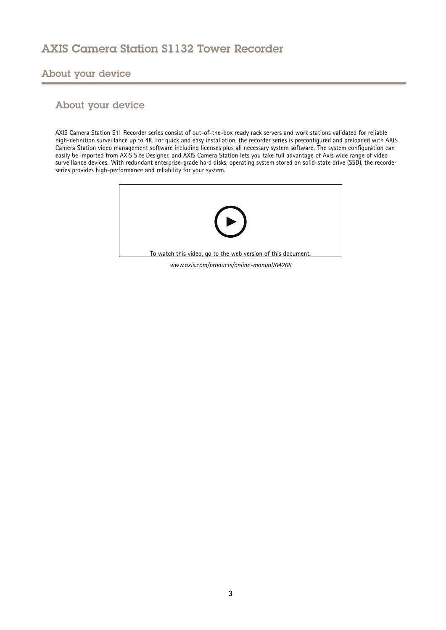<span id="page-2-0"></span>About your device

## About your device

AXIS Camera Station S11 Recorder series consist of out-of-the-box ready rack servers and work stations validated for reliable high-definition surveillance up to 4K. For quick and easy installation, the recorder series is preconfigured and preloaded with AXIS Camera Station video management software including licenses plus all necessary system software. The system configuration can easily be imported from AXIS Site Designer, and AXIS Camera Station lets you take full advantage of Axis wide range of video surveillance devices. With redundant enterprise-grade hard disks, operating system stored on solid-state drive (SSD), the recorder series provides high-performance and reliability for your system.



*www.axis.com/products/online-manual/64268*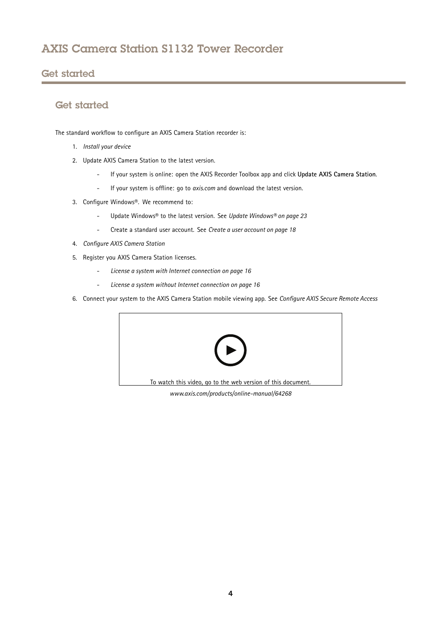## <span id="page-3-0"></span>Get started

## Get started

The standard workflow to configure an AXIS Camera Station recorder is:

- 1. *[Install](#page-4-0) your device*
- 2. Update AXIS Camera Station to the latest version.
	- -If your system is online: open the AXIS Recorder Toolbox app and click **Update AXIS Camera Station**.
	- -If your system is offline: go to *[axis.com](https://www.axis.com)* and download the latest version.
- 3. Configure Windows®. We recommend to:
	- -Update Windows® to the latest version. See *Update [Windows®](#page-22-0) on page [23](#page-22-0)*
	- -Create <sup>a</sup> standard user account. See *Create <sup>a</sup> user [account](#page-17-0) on page [18](#page-17-0)*
- 4. *[Configure](#page-11-0) AXIS Camera Station*
- 5. Register you AXIS Camera Station licenses.
	- -*License <sup>a</sup> system with Internet [connection](#page-15-0) on page [16](#page-15-0)*
	- -*License <sup>a</sup> system without Internet [connection](#page-15-0) on page [16](#page-15-0)*
- 6. Connect your system to the AXIS Camera Station mobile viewing app. See *[Configure](https://www.axis.com/products/online-manual/34074#t10123489) AXIS Secure Remote Access*



*www.axis.com/products/online-manual/64268*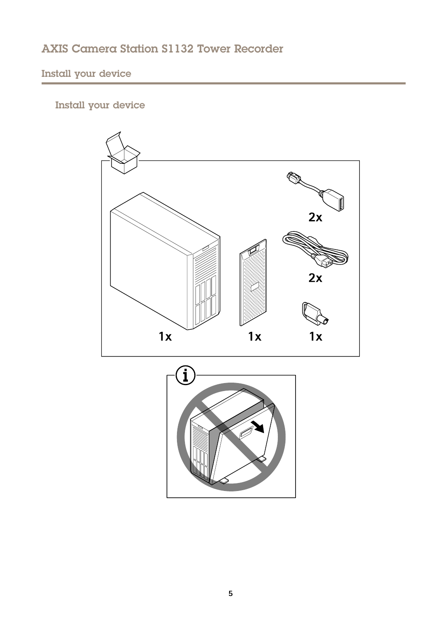# <span id="page-4-0"></span>Install your device



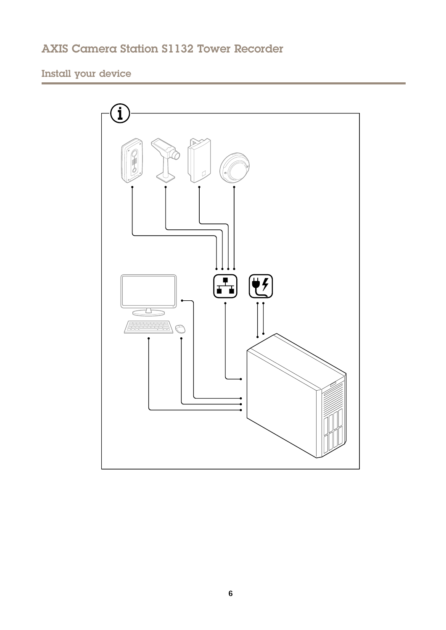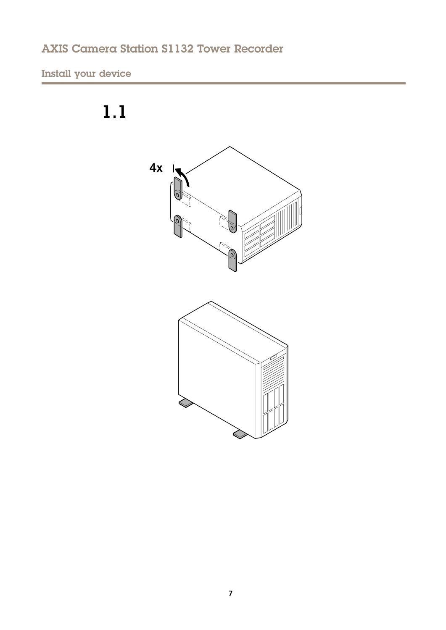# Install your device



 $1.1$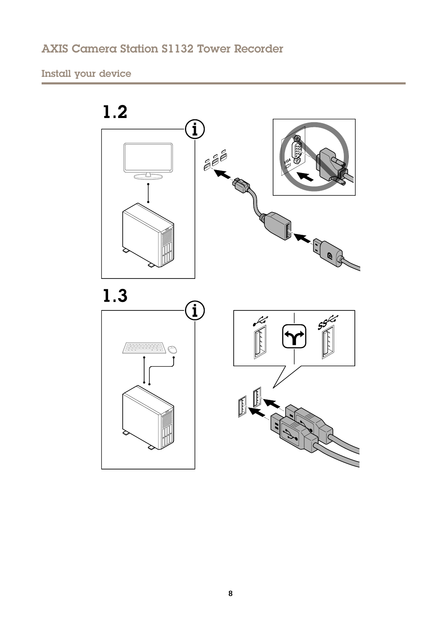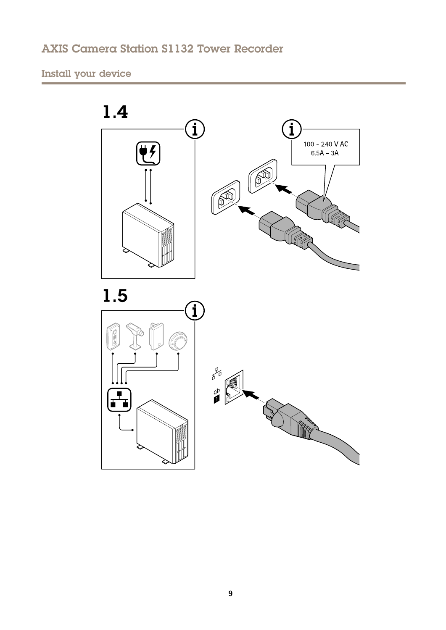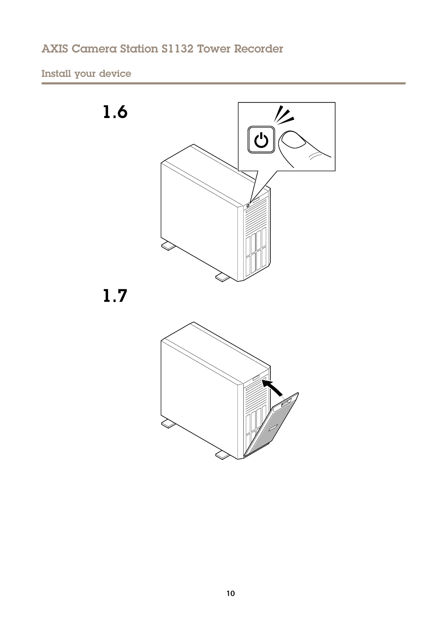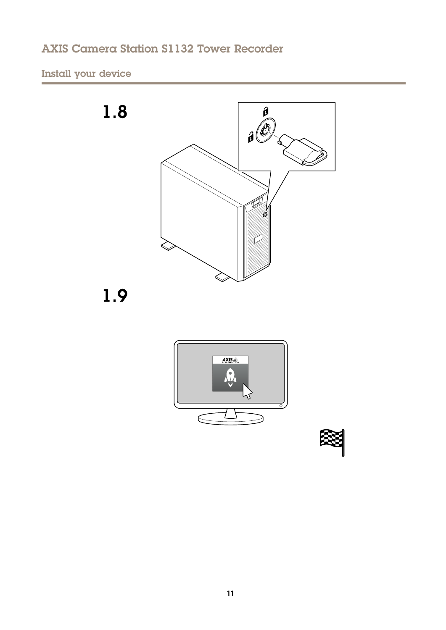



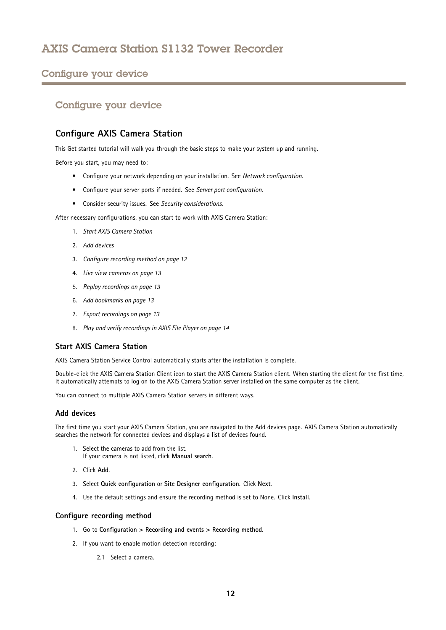## <span id="page-11-0"></span>Configure your device

## Configure your device

## **Configure AXIS Camera Station**

This Get started tutorial will walk you through the basic steps to make your system up and running.

Before you start, you may need to:

- Configure your network depending on your installation. See *Network [configuration](#page-14-0)*.
- Configure your server ports if needed. See *Server port [configuration](#page-14-0)*.
- Consider security issues. See *Security [considerations](#page-14-0)*.

After necessary configurations, you can start to work with AXIS Camera Station:

- 1. *Start AXIS Camera Station*
- 2. *Add devices*
- 3. *Configure recording method on page 12*
- 4. *Live view [cameras](#page-12-0) on page [13](#page-12-0)*
- 5. *Replay [recordings](#page-12-0) on page [13](#page-12-0)*
- 6. *Add [bookmarks](#page-12-0) on page [13](#page-12-0)*
- 7. *Export [recordings](#page-12-0) on page [13](#page-12-0)*
- 8. *Play and verify [recordings](#page-13-0) in AXIS File Player on page [14](#page-13-0)*

### **Start AXIS Camera Station**

AXIS Camera Station Service Control automatically starts after the installation is complete.

Double-click the AXIS Camera Station Client icon to start the AXIS Camera Station client. When starting the client for the first time, it automatically attempts to log on to the AXIS Camera Station server installed on the same computer as the client.

You can connect to multiple AXIS Camera Station servers in different ways.

### **Add devices**

The first time you start your AXIS Camera Station, you are navigated to the Add devices page. AXIS Camera Station automatically searches the network for connected devices and displays <sup>a</sup> list of devices found.

- 1. Select the cameras to add from the list. If your camera is not listed, click **Manual search**.
- 2. Click **Add**.
- 3. Select **Quick configuration** or **Site Designer configuration**. Click **Next**.
- 4. Use the default settings and ensure the recording method is set to None. Click **Install**.

### **Configure recording method**

- 1. Go to **Configuration <sup>&</sup>gt; Recording and events <sup>&</sup>gt; Recording method**.
- 2. If you want to enable motion detection recording:
	- 2.1 Select <sup>a</sup> camera.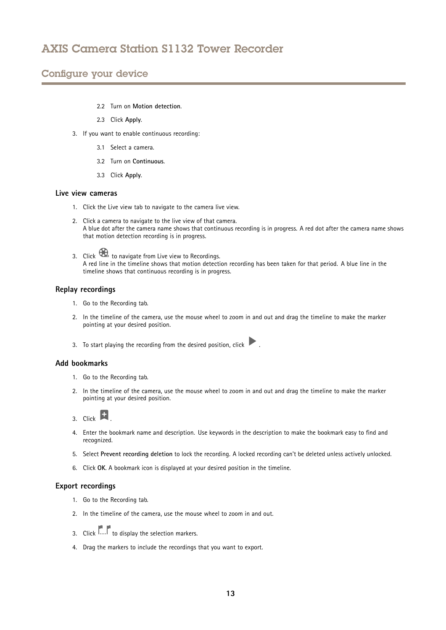## <span id="page-12-0"></span>Configure your device

- 2.2 Turn on **Motion detection**.
- 2.3 Click **Apply**.
- 3. If you want to enable continuous recording:
	- 3.1 Select <sup>a</sup> camera.
	- 3.2 Turn on **Continuous**.
	- 3.3 Click **Apply**.

### **Live view cameras**

- 1. Click the Live view tab to navigate to the camera live view.
- 2. Click <sup>a</sup> camera to navigate to the live view of that camera. A blue dot after the camera name shows that continuous recording is in progress. A red dot after the camera name shows that motion detection recording is in progress.
- 3. Click to navigate from Live view to Recordings. A red line in the timeline shows that motion detection recording has been taken for that period. A blue line in the timeline shows that continuous recording is in progress.

#### **Replay recordings**

- 1. Go to the Recording tab.
- 2. In the timeline of the camera, use the mouse wheel to zoom in and out and drag the timeline to make the marker pointing at your desired position.
- 3. To start playing the recording from the desired position, click  $\blacksquare$

#### **Add bookmarks**

- 1. Go to the Recording tab.
- 2. In the timeline of the camera, use the mouse wheel to zoom in and out and drag the timeline to make the marker pointing at your desired position.
- 3. Click  $\mathbf{E}$
- 4. Enter the bookmark name and description. Use keywords in the description to make the bookmark easy to find and recognized.
- 5. Select **Prevent recording deletion** to lock the recording. A locked recording can't be deleted unless actively unlocked.
- 6. Click **OK**. A bookmark icon is displayed at your desired position in the timeline.

#### **Export recordings**

- 1. Go to the Recording tab.
- 2. In the timeline of the camera, use the mouse wheel to zoom in and out.
- 3. Click **The Latter of display the selection markers.**
- 4. Drag the markers to include the recordings that you want to export.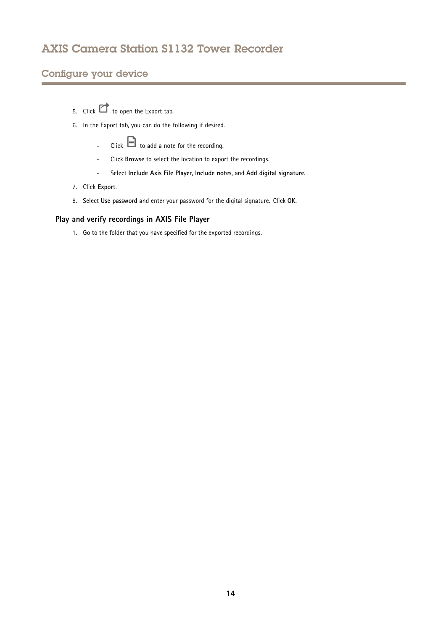## <span id="page-13-0"></span>Configure your device

- 5. Click  $\Box$  to open the Export tab.
- 6. In the Export tab, you can do the following if desired.
	- - $Click$   $\blacksquare$  to add a note for the recording.
	- -Click **Browse** to select the location to export the recordings.
	- -Select **Include Axis File Player**, **Include notes**, and **Add digital signature**.
- 7. Click **Export**.
- 8. Select **Use password** and enter your password for the digital signature. Click **OK**.

### **Play and verify recordings in AXIS File Player**

1. Go to the folder that you have specified for the exported recordings.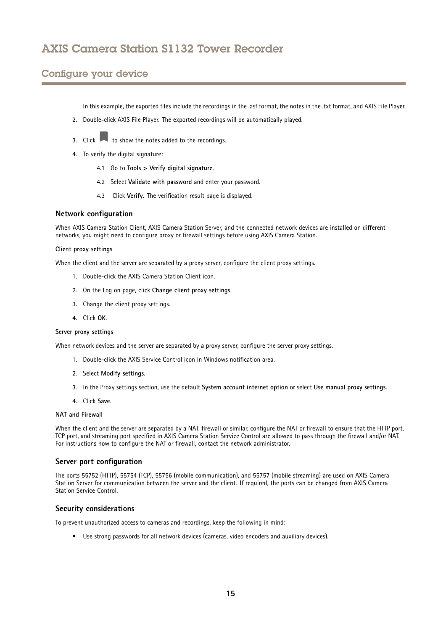## <span id="page-14-0"></span>Configure your device

In this example, the exported files include the recordings in the .asf format, the notes in the .txt format, and AXIS File Player.

- 2. Double-click AXIS File Player. The exported recordings will be automatically played.
- 3. Click  $\blacksquare$  to show the notes added to the recordings.
- 4. To verify the digital signature:
	- 4.1 Go to **Tools <sup>&</sup>gt; Verify digital signature**.
	- 4.2 Select **Validate with password** and enter your password.
	- 4.3 Click **Verify**. The verification result page is displayed.

#### **Network configuration**

When AXIS Camera Station Client, AXIS Camera Station Server, and the connected network devices are installed on different networks, you might need to configure proxy or firewall settings before using AXIS Camera Station.

#### **Client proxy settings**

When the client and the server are separated by <sup>a</sup> proxy server, configure the client proxy settings.

- 1. Double-click the AXIS Camera Station Client icon.
- 2. On the Log on page, click **Change client proxy settings**.
- 3. Change the client proxy settings.
- 4. Click **OK**.

#### **Server proxy settings**

When network devices and the server are separated by <sup>a</sup> proxy server, configure the server proxy settings.

- 1. Double-click the AXIS Service Control icon in Windows notification area.
- 2. Select **Modify settings**.
- 3. In the Proxy settings section, use the default **System account internet option** or select **Use manual proxy settings**.
- 4. Click **Save**.

#### **NAT and Firewall**

When the client and the server are separated by <sup>a</sup> NAT, firewall or similar, configure the NAT or firewall to ensure that the HTTP port, TCP port, and streaming port specified in AXIS Camera Station Service Control are allowed to pass through the firewall and/or NAT. For instructions how to configure the NAT or firewall, contact the network administrator.

#### **Server port configuration**

The ports <sup>55752</sup> (HTTP), <sup>55754</sup> (TCP), <sup>55756</sup> (mobile communication), and <sup>55757</sup> (mobile streaming) are used on AXIS Camera Station Server for communication between the server and the client. If required, the ports can be changed from AXIS Camera Station Service Control.

#### **Security considerations**

To prevent unauthorized access to cameras and recordings, keep the following in mind:

• Use strong passwords for all network devices (cameras, video encoders and auxiliary devices).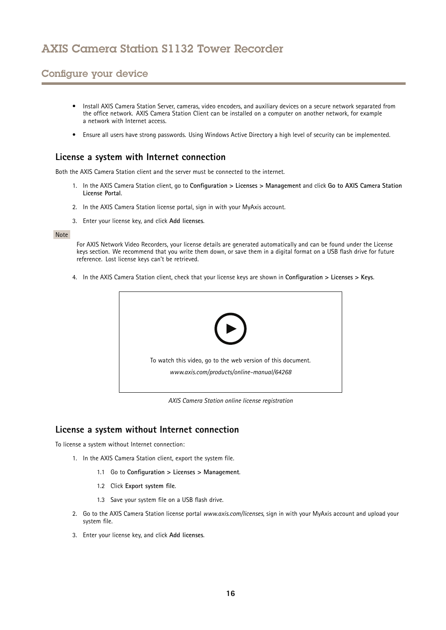## <span id="page-15-0"></span>Configure your device

- • Install AXIS Camera Station Server, cameras, video encoders, and auxiliary devices on <sup>a</sup> secure network separated from the office network. AXIS Camera Station Client can be installed on <sup>a</sup> computer on another network, for example a network with Internet access.
- Ensure all users have strong passwords. Using Windows Active Directory <sup>a</sup> high level of security can be implemented.

### **License <sup>a</sup> system with Internet connection**

Both the AXIS Camera Station client and the server must be connected to the internet.

- 1. In the AXIS Camera Station client, go to **Configuration <sup>&</sup>gt; Licenses <sup>&</sup>gt; Management** and click **Go to AXIS Camera Station License Portal**.
- 2. In the AXIS Camera Station license portal, sign in with your MyAxis account.
- 3. Enter your license key, and click **Add licenses**.

#### Note

For AXIS Network Video Recorders, your license details are generated automatically and can be found under the License keys section. We recommend that you write them down, or save them in <sup>a</sup> digital format on <sup>a</sup> USB flash drive for future reference. Lost license keys can't be retrieved.

4. In the AXIS Camera Station client, check that your license keys are shown in **Configuration <sup>&</sup>gt; Licenses <sup>&</sup>gt; Keys**.



*AXIS Camera Station online license registration*

### **License <sup>a</sup> system without Internet connection**

To license <sup>a</sup> system without Internet connection:

- 1. In the AXIS Camera Station client, export the system file.
	- 1.1 Go to **Configuration <sup>&</sup>gt; Licenses <sup>&</sup>gt; Management**.
	- 1.2 Click **Export system file**.
	- 1.3 Save your system file on <sup>a</sup> USB flash drive.
- 2. Go to the AXIS Camera Station license portal *[www.axis.com/licenses](https://www.axis.com/licenses)*, sign in with your MyAxis account and upload your system file.
- 3. Enter your license key, and click **Add licenses**.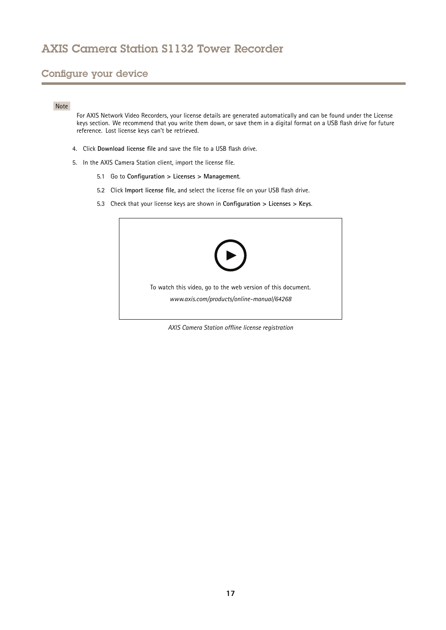## Configure your device

#### Note

For AXIS Network Video Recorders, your license details are generated automatically and can be found under the License keys section. We recommend that you write them down, or save them in <sup>a</sup> digital format on <sup>a</sup> USB flash drive for future reference. Lost license keys can't be retrieved.

- 4. Click **Download license file** and save the file to <sup>a</sup> USB flash drive.
- 5. In the AXIS Camera Station client, import the license file.
	- 5.1 Go to **Configuration <sup>&</sup>gt; Licenses <sup>&</sup>gt; Management**.
	- 5.2 Click **Import license file**, and select the license file on your USB flash drive.
	- 5.3 Check that your license keys are shown in **Configuration <sup>&</sup>gt; Licenses <sup>&</sup>gt; Keys**.



*AXIS Camera Station offline license registration*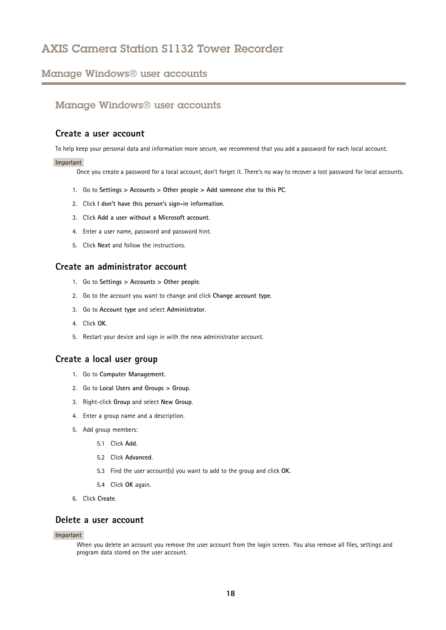### <span id="page-17-0"></span>Manage Windows® user accounts

### Manage Windows® user accounts

### **Create <sup>a</sup> user account**

To help keep your personal data and information more secure, we recommend that you add <sup>a</sup> password for each local account.

#### Important

Once you create <sup>a</sup> password for <sup>a</sup> local account, don't forget it. There's no way to recover <sup>a</sup> lost password for local accounts.

- 1. Go to **Settings <sup>&</sup>gt; Accounts <sup>&</sup>gt; Other people <sup>&</sup>gt; Add someone else to this PC**.
- 2. Click **I don't have this person's sign-in information**.
- 3. Click **Add <sup>a</sup> user without <sup>a</sup> Microsoft account**.
- 4. Enter <sup>a</sup> user name, password and password hint.
- 5. Click **Next** and follow the instructions.

### **Create an administrator account**

- 1. Go to **Settings <sup>&</sup>gt; Accounts <sup>&</sup>gt; Other people**.
- 2. Go to the account you want to change and click **Change account type**.
- 3. Go to **Account type** and select **Administrator**.
- 4. Click **OK**.
- 5. Restart your device and sign in with the new administrator account.

### **Create <sup>a</sup> local user group**

- 1. Go to **Computer Management**.
- 2. Go to **Local Users and Groups <sup>&</sup>gt; Group**.
- 3. Right-click **Group** and select **New Group**.
- 4. Enter <sup>a</sup> group name and <sup>a</sup> description.
- 5. Add group members:
	- 5.1 Click **Add**.
	- 5.2 Click **Advanced**.
	- 5.3 Find the user account(s) you want to add to the group and click **OK**.
	- 5.4 Click **OK** again.
- 6. Click **Create**.

### **Delete a user account**

#### Important

When you delete an account you remove the user account from the login screen. You also remove all files, settings and program data stored on the user account.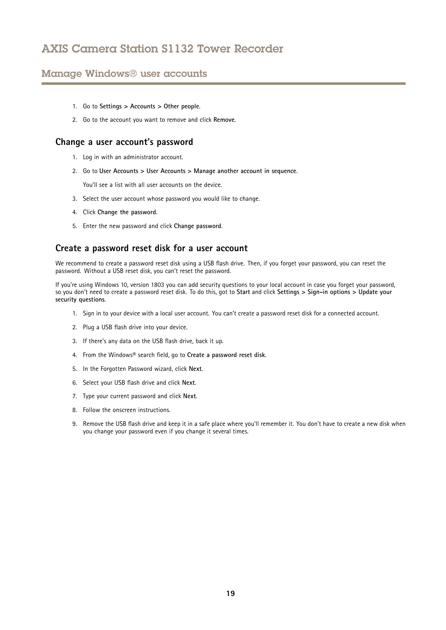## <span id="page-18-0"></span>Manage Windows® user accounts

- 1. Go to **Settings <sup>&</sup>gt; Accounts <sup>&</sup>gt; Other people**.
- 2. Go to the account you want to remove and click **Remove**.

### **Change <sup>a</sup> user account's password**

- 1. Log in with an administrator account.
- 2. Go to **User Accounts <sup>&</sup>gt; User Accounts <sup>&</sup>gt; Manage another account in sequence**.

You'll see a list with all user accounts on the device.

- 3. Select the user account whose password you would like to change.
- 4. Click **Change the password**.
- 5. Enter the new password and click **Change password**.

### **Create <sup>a</sup> password reset disk for <sup>a</sup> user account**

We recommend to create <sup>a</sup> password reset disk using <sup>a</sup> USB flash drive. Then, if you forget your password, you can reset the password. Without <sup>a</sup> USB reset disk, you can't reset the password.

If you're using Windows 10, version 1803 you can add security questions to your local account in case you forget your password, so you don't need to create <sup>a</sup> password reset disk. To do this, got to **Start** and click **Settings <sup>&</sup>gt; Sign-in options <sup>&</sup>gt; Update your security questions**.

- 1. Sign in to your device with <sup>a</sup> local user account. You can't create <sup>a</sup> password reset disk for <sup>a</sup> connected account.
- 2. Plug <sup>a</sup> USB flash drive into your device.
- 3. If there's any data on the USB flash drive, back it up.
- 4. From the Windows® search field, go to **Create <sup>a</sup> password reset disk**.
- 5. In the Forgotten Password wizard, click **Next**.
- 6. Select your USB flash drive and click **Next**.
- 7. Type your current password and click **Next**.
- 8. Follow the onscreen instructions.
- 9. Remove the USB flash drive and keep it in <sup>a</sup> safe place where you'll remember it. You don't have to create <sup>a</sup> new disk when you change your password even if you change it several times.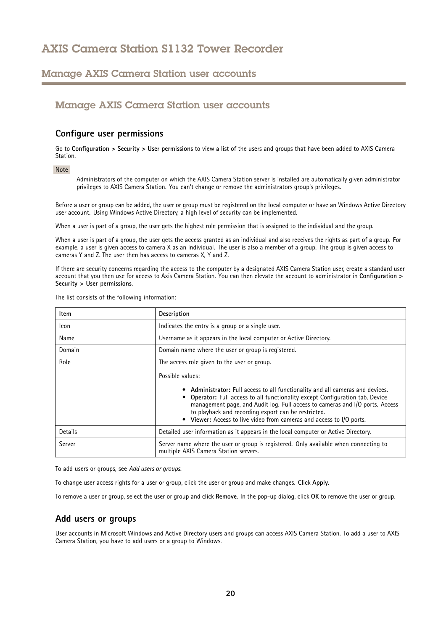## <span id="page-19-0"></span>Manage AXIS Camera Station user accounts

## Manage AXIS Camera Station user accounts

### **Configure user permissions**

Go to **Configuration <sup>&</sup>gt; Security <sup>&</sup>gt; User permissions** to view <sup>a</sup> list of the users and groups that have been added to AXIS Camera Station.

#### Note

Administrators of the computer on which the AXIS Camera Station server is installed are automatically given administrator privileges to AXIS Camera Station. You can't change or remove the administrators group's privileges.

Before <sup>a</sup> user or group can be added, the user or group must be registered on the local computer or have an Windows Active Directory user account. Using Windows Active Directory, <sup>a</sup> high level of security can be implemented.

When <sup>a</sup> user is part of <sup>a</sup> group, the user gets the highest role permission that is assigned to the individual and the group.

When <sup>a</sup> user is part of <sup>a</sup> group, the user gets the access granted as an individual and also receives the rights as part of <sup>a</sup> group. For example, <sup>a</sup> user is given access to camera X as an individual. The user is also <sup>a</sup> member of <sup>a</sup> group. The group is given access to cameras Y and Z. The user then has access to cameras X, Y and Z.

If there are security concerns regarding the access to the computer by <sup>a</sup> designated AXIS Camera Station user, create <sup>a</sup> standard user account that you then use for access to Axis Camera Station. You can then elevate the account to administrator in **Configuration <sup>&</sup>gt; Security <sup>&</sup>gt; User permissions**.

| The list consists of the following information: |  |  |  |  |  |
|-------------------------------------------------|--|--|--|--|--|
|-------------------------------------------------|--|--|--|--|--|

| Item    | <b>Description</b>                                                                                                                                                                                                                                                                                                                                                                                                                              |  |
|---------|-------------------------------------------------------------------------------------------------------------------------------------------------------------------------------------------------------------------------------------------------------------------------------------------------------------------------------------------------------------------------------------------------------------------------------------------------|--|
| Icon    | Indicates the entry is a group or a single user.                                                                                                                                                                                                                                                                                                                                                                                                |  |
| Name    | Username as it appears in the local computer or Active Directory.                                                                                                                                                                                                                                                                                                                                                                               |  |
| Domain  | Domain name where the user or group is registered.                                                                                                                                                                                                                                                                                                                                                                                              |  |
| Role    | The access role given to the user or group.<br>Possible values:<br>• Administrator: Full access to all functionality and all cameras and devices.<br>Operator: Full access to all functionality except Configuration tab, Device<br>management page, and Audit log. Full access to cameras and I/O ports. Access<br>to playback and recording export can be restricted.<br>• Viewer: Access to live video from cameras and access to I/O ports. |  |
| Details | Detailed user information as it appears in the local computer or Active Directory.                                                                                                                                                                                                                                                                                                                                                              |  |
| Server  | Server name where the user or group is registered. Only available when connecting to<br>multiple AXIS Camera Station servers.                                                                                                                                                                                                                                                                                                                   |  |

To add users or groups, see *Add users or groups*.

To change user access rights for <sup>a</sup> user or group, click the user or group and make changes. Click **Apply**.

To remove <sup>a</sup> user or group, select the user or group and click **Remove**. In the pop-up dialog, click **OK** to remove the user or group.

### **Add users or groups**

User accounts in Microsoft Windows and Active Directory users and groups can access AXIS Camera Station. To add <sup>a</sup> user to AXIS Camera Station, you have to add users or <sup>a</sup> group to Windows.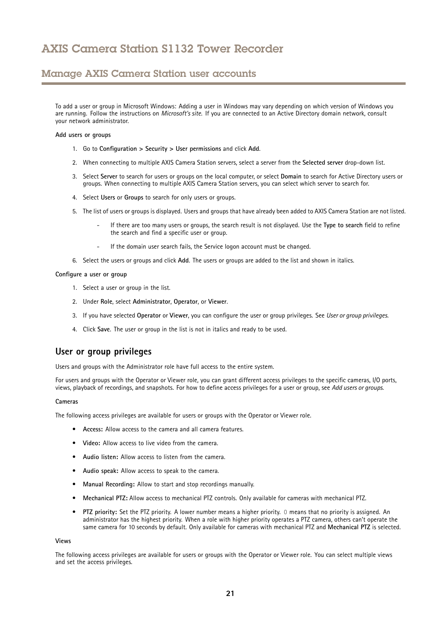## <span id="page-20-0"></span>Manage AXIS Camera Station user accounts

To add <sup>a</sup> user or group in Microsoft Windows: Adding <sup>a</sup> user in Windows may vary depending on which version of Windows you are running. Follow the instructions on *[Microsoft's](https://support.microsoft.com/en-us/help/13951/windows-create-user-account) site*. If you are connected to an Active Directory domain network, consult your network administrator.

#### **Add users or groups**

- 1. Go to **Configuration <sup>&</sup>gt; Security <sup>&</sup>gt; User permissions** and click **Add**.
- 2. When connecting to multiple AXIS Camera Station servers, select <sup>a</sup> server from the **Selected server** drop-down list.
- 3. Select **Server** to search for users or groups on the local computer, or select **Domain** to search for Active Directory users or groups. When connecting to multiple AXIS Camera Station servers, you can select which server to search for.
- 4. Select **Users** or **Groups** to search for only users or groups.
- 5. The list of users or groups is displayed. Users and groups that have already been added to AXIS Camera Station are not listed.
	- If there are too many users or groups, the search result is not displayed. Use the **Type to search** field to refine the search and find <sup>a</sup> specific user or group.
	- If the domain user search fails, the Service logon account must be changed.
- 6. Select the users or groups and click **Add**. The users or groups are added to the list and shown in italics.

#### **Configure <sup>a</sup> user or group**

- 1. Select <sup>a</sup> user or group in the list.
- 2. Under **Role**, select **Administrator**, **Operator**, or **Viewer**.
- 3. If you have selected **Operator** or **Viewer**, you can configure the user or group privileges. See *User or group privileges*.
- 4. Click **Save**. The user or group in the list is not in italics and ready to be used.

### **User or group privileges**

Users and groups with the Administrator role have full access to the entire system.

For users and groups with the Operator or Viewer role, you can grant different access privileges to the specific cameras, I/O ports, views, playback of recordings, and snapshots. For how to define access privileges for <sup>a</sup> user or group, see *Add users or [groups](#page-19-0)*.

#### **Cameras**

The following access privileges are available for users or groups with the Operator or Viewer role.

- **Access:** Allow access to the camera and all camera features.
- **Video:** Allow access to live video from the camera.
- **Audio listen:** Allow access to listen from the camera.
- **Audio speak:** Allow access to speak to the camera.
- **Manual Recording:** Allow to start and stop recordings manually.
- **Mechanical PTZ:** Allow access to mechanical PTZ controls. Only available for cameras with mechanical PTZ.
- • **PTZ priority:** Set the PTZ priority. A lower number means <sup>a</sup> higher priority. 0 means that no priority is assigned. An administrator has the highest priority. When <sup>a</sup> role with higher priority operates <sup>a</sup> PTZ camera, others can't operate the same camera for 10 seconds by default. Only available for cameras with mechanical PTZ and **Mechanical PTZ** is selected.

#### **Views**

The following access privileges are available for users or groups with the Operator or Viewer role. You can select multiple views and set the access privileges.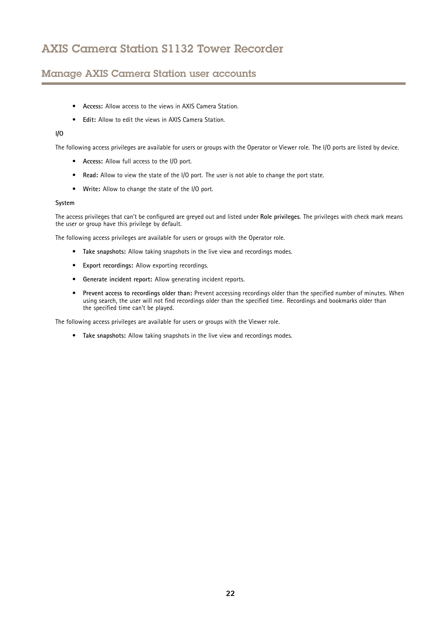## Manage AXIS Camera Station user accounts

- **Access:** Allow access to the views in AXIS Camera Station.
- **Edit:** Allow to edit the views in AXIS Camera Station.

### **I/O**

The following access privileges are available for users or groups with the Operator or Viewer role. The I/O ports are listed by device.

- **Access:** Allow full access to the I/O port.
- **Read:** Allow to view the state of the I/O port. The user is not able to change the port state.
- **Write:** Allow to change the state of the I/O port.

#### **System**

The access privileges that can't be configured are greyed out and listed under **Role privileges**. The privileges with check mark means the user or group have this privilege by default.

The following access privileges are available for users or groups with the Operator role.

- **Take snapshots:** Allow taking snapshots in the live view and recordings modes.
- **Export recordings:** Allow exporting recordings.
- •**Generate incident report:** Allow generating incident reports.
- • **Prevent access to recordings older than:** Prevent accessing recordings older than the specified number of minutes. When using search, the user will not find recordings older than the specified time. Recordings and bookmarks older than the specified time can't be played.

The following access privileges are available for users or groups with the Viewer role.

• **Take snapshots:** Allow taking snapshots in the live view and recordings modes.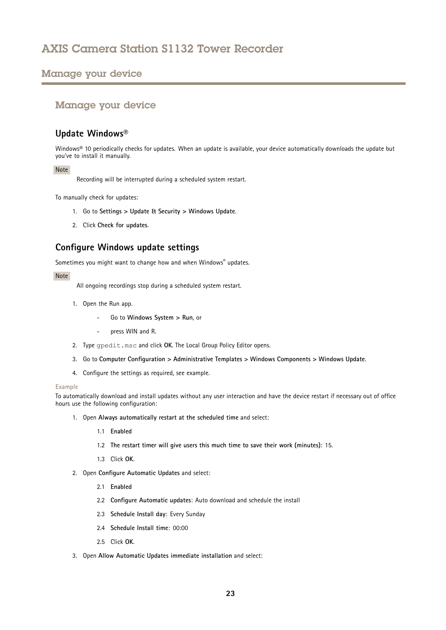## <span id="page-22-0"></span>Manage your device

## Manage your device

## **Update Windows®**

Windows® 10 periodically checks for updates. When an update is available, your device automatically downloads the update but you've to install it manually.

### Note

Recording will be interrupted during <sup>a</sup> scheduled system restart.

To manually check for updates:

- 1. Go to **Settings <sup>&</sup>gt; Update & Security <sup>&</sup>gt; Windows Update**.
- 2. Click **Check for updates**.

## **Configure Windows update settings**

Sometimes you might want to change how and when Windows® updates.

#### Note

All ongoing recordings stop during <sup>a</sup> scheduled system restart.

- 1. Open the Run app.
	- Go to **Windows System <sup>&</sup>gt; Run**, or
	- press WIN and R.
- 2. Type gpedit.msc and click **OK**. The Local Group Policy Editor opens.
- 3. Go to **Computer Configuration <sup>&</sup>gt; Administrative Templates <sup>&</sup>gt; Windows Components <sup>&</sup>gt; Windows Update**.
- 4. Configure the settings as required, see example.

#### **Example**

To automatically download and install updates without any user interaction and have the device restart if necessary out of office hours use the following configuration:

- 1. Open **Always automatically restart at the scheduled time** and select:
	- 1.1 **Enabled**
	- 1.2 **The restart timer will give users this much time to save their work (minutes)**: 15.
	- 1.3 Click **OK**.
- 2. Open **Configure Automatic Updates** and select:
	- 2.1 **Enabled**
	- 2.2 **Configure Automatic updates**: Auto download and schedule the install
	- 2.3 **Schedule Install day**: Every Sunday
	- 2.4 **Schedule Install time**: 00:00
	- 2.5 Click **OK**.
- 3. Open **Allow Automatic Updates immediate installation** and select: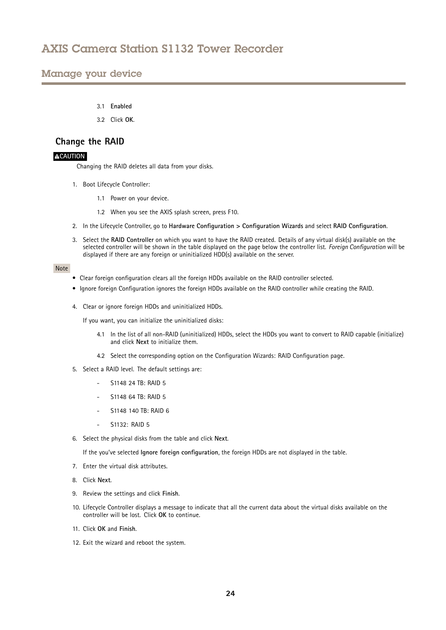## <span id="page-23-0"></span>Manage your device

- 3.1 **Enabled**
- 3.2 Click **OK**.

### **Change the RAID**

### **ACAUTION**

Changing the RAID deletes all data from your disks.

- 1. Boot Lifecycle Controller:
	- 1.1 Power on your device.
	- 1.2 When you see the AXIS splash screen, press F10.
- 2. In the Lifecycle Controller, go to **Hardware Configuration <sup>&</sup>gt; Configuration Wizards** and select **RAID Configuration**.
- 3. Select the **RAID Controller** on which you want to have the RAID created. Details of any virtual disk(s) available on the selected controller will be shown in the table displayed on the page below the controller list. *Foreign Configuration* will be displayed if there are any foreign or uninitialized HDD(s) available on the server.

#### Note

- Clear foreign configuration clears all the foreign HDDs available on the RAID controller selected.
- Ignore foreign Configuration ignores the foreign HDDs available on the RAID controller while creating the RAID.
- 4. Clear or ignore foreign HDDs and uninitialized HDDs.

If you want, you can initialize the uninitialized disks:

- 4.1 In the list of all non-RAID (uninitialized) HDDs, select the HDDs you want to convert to RAID capable (initialize) and click **Next** to initialize them.
- 4.2 Select the corresponding option on the Configuration Wizards: RAID Configuration page.
- 5. Select <sup>a</sup> RAID level. The default settings are:
	- -S1148 24 TB: RAID 5
	- S1148 64 TB: RAID 5
	- S1148 140 TB: RAID 6
	- S1132: RAID 5
- 6. Select the physical disks from the table and click **Next**.

If the you've selected **Ignore foreign configuration**, the foreign HDDs are not displayed in the table.

- 7. Enter the virtual disk attributes.
- 8. Click **Next**.
- 9. Review the settings and click **Finish**.
- 10. Lifecycle Controller displays <sup>a</sup> message to indicate that all the current data about the virtual disks available on the controller will be lost. Click **OK** to continue.
- 11. Click **OK** and **Finish**.
- 12. Exit the wizard and reboot the system.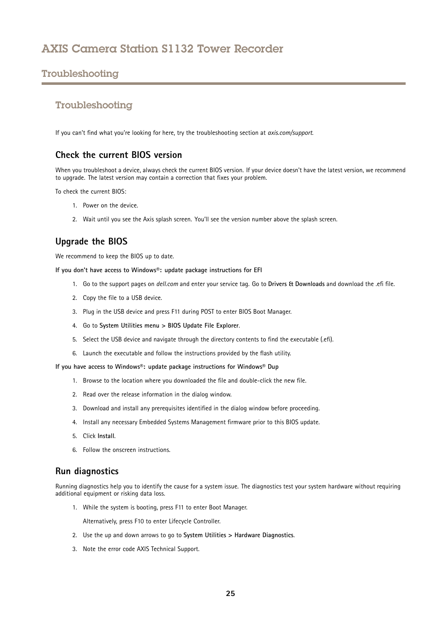## <span id="page-24-0"></span>Troubleshooting

## Troubleshooting

If you can't find what you're looking for here, try the troubleshooting section at *[axis.com/support](https://www.axis.com/support)*.

### **Check the current BIOS version**

When you troubleshoot <sup>a</sup> device, always check the current BIOS version. If your device doesn't have the latest version, we recommend to upgrade. The latest version may contain <sup>a</sup> correction that fixes your problem.

To check the current BIOS:

- 1. Power on the device.
- 2. Wait until you see the Axis splash screen. You'll see the version number above the splash screen.

## **Upgrade the BIOS**

We recommend to keep the BIOS up to date.

**If you don't have access to Windows®: update package instructions for EFI**

- 1. Go to the support pages on *[dell.com](https://www.dell.com)* and enter your service tag. Go to **Drivers & Downloads** and download the .efi file.
- 2. Copy the file to <sup>a</sup> USB device.
- 3. Plug in the USB device and press F11 during POST to enter BIOS Boot Manager.
- 4. Go to **System Utilities menu <sup>&</sup>gt; BIOS Update File Explorer**.
- 5. Select the USB device and navigate through the directory contents to find the executable (.efi).
- 6. Launch the executable and follow the instructions provided by the flash utility.

**If you have access to Windows®: update package instructions for Windows® Dup**

- 1. Browse to the location where you downloaded the file and double-click the new file.
- 2. Read over the release information in the dialog window.
- 3. Download and install any prerequisites identified in the dialog window before proceeding.
- 4. Install any necessary Embedded Systems Management firmware prior to this BIOS update.
- 5. Click **Install**.
- 6. Follow the onscreen instructions.

### **Run diagnostics**

Running diagnostics help you to identify the cause for <sup>a</sup> system issue. The diagnostics test your system hardware without requiring additional equipment or risking data loss.

1. While the system is booting, press F11 to enter Boot Manager.

Alternatively, press F10 to enter Lifecycle Controller.

- 2. Use the up and down arrows to go to **System Utilities <sup>&</sup>gt; Hardware Diagnostics**.
- 3. Note the error code AXIS Technical Support.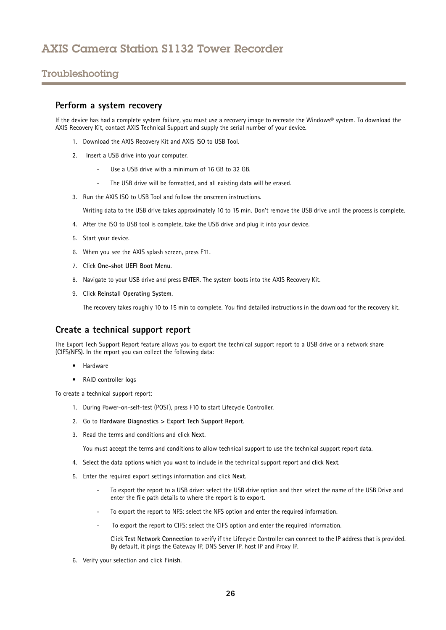## <span id="page-25-0"></span>Troubleshooting

### **Perform <sup>a</sup> system recovery**

If the device has had <sup>a</sup> complete system failure, you must use <sup>a</sup> recovery image to recreate the Windows® system. To download the AXIS Recovery Kit, contact AXIS Technical Support and supply the serial number of your device.

- 1. Download the AXIS Recovery Kit and AXIS ISO to USB Tool.
- 2. Insert <sup>a</sup> USB drive into your computer.
	- Use <sup>a</sup> USB drive with <sup>a</sup> minimum of 16 GB to 32 GB.
	- The USB drive will be formatted, and all existing data will be erased.
- 3. Run the AXIS ISO to USB Tool and follow the onscreen instructions.

Writing data to the USB drive takes approximately 10 to 15 min. Don't remove the USB drive until the process is complete.

- 4. After the ISO to USB tool is complete, take the USB drive and plug it into your device.
- 5. Start your device.
- 6. When you see the AXIS splash screen, press F11.
- 7. Click **One-shot UEFI Boot Menu**.
- 8. Navigate to your USB drive and press ENTER. The system boots into the AXIS Recovery Kit.
- 9. Click **Reinstall Operating System**.

The recovery takes roughly 10 to 15 min to complete. You find detailed instructions in the download for the recovery kit.

### **Create <sup>a</sup> technical support report**

The Export Tech Support Report feature allows you to export the technical support report to <sup>a</sup> USB drive or <sup>a</sup> network share (CIFS/NFS). In the report you can collect the following data:

- Hardware
- RAID controller logs

To create <sup>a</sup> technical support report:

- 1. During Power-on-self-test (POST), press F10 to start Lifecycle Controller.
- 2. Go to **Hardware Diagnostics <sup>&</sup>gt; Export Tech Support Report**.
- 3. Read the terms and conditions and click **Next**.

You must accept the terms and conditions to allow technical support to use the technical support report data.

- 4. Select the data options which you want to include in the technical support report and click **Next**.
- 5. Enter the required export settings information and click **Next**.
	- To export the report to <sup>a</sup> USB drive: select the USB drive option and then select the name of the USB Drive and enter the file path details to where the report is to export.
	- To export the report to NFS: select the NFS option and enter the required information.
	- To export the report to CIFS: select the CIFS option and enter the required information.

Click **Test Network Connection** to verify if the Lifecycle Controller can connect to the IP address that is provided. By default, it pings the Gateway IP, DNS Server IP, host IP and Proxy IP.

6. Verify your selection and click **Finish**.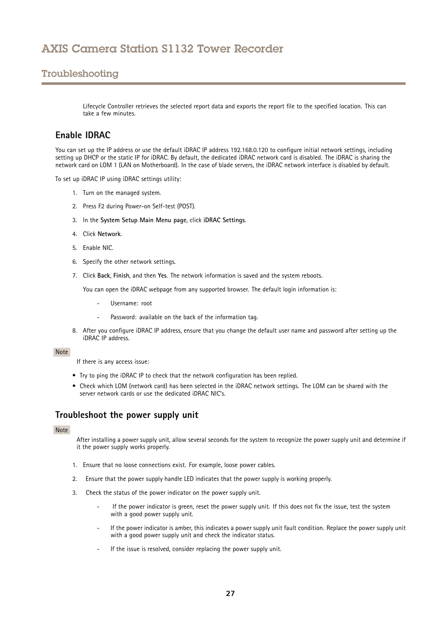## <span id="page-26-0"></span>Troubleshooting

Lifecycle Controller retrieves the selected report data and exports the report file to the specified location. This can take a few minutes.

### **Enable IDRAC**

You can set up the IP address or use the default iDRAC IP address 192.168.0.120 to configure initial network settings, including setting up DHCP or the static IP for iDRAC. By default, the dedicated iDRAC network card is disabled. The iDRAC is sharing the network card on LOM <sup>1</sup> (LAN on Motherboard). In the case of blade servers, the iDRAC network interface is disabled by default.

To set up iDRAC IP using iDRAC settings utility:

- 1. Turn on the managed system.
- 2. Press F2 during Power-on Self-test (POST).
- 3. In the **System Setup Main Menu page**, click **iDRAC Settings**.
- 4. Click **Network**.
- 5. Enable NIC.
- 6. Specify the other network settings.
- 7. Click **Back**, **Finish**, and then **Yes**. The network information is saved and the system reboots.

You can open the iDRAC webpage from any supported browser. The default login information is:

- Username: root
- Password: available on the back of the information tag.
- 8. After you configure iDRAC IP address, ensure that you change the default user name and password after setting up the iDRAC IP address.

#### Note

If there is any access issue:

- Try to ping the iDRAC IP to check that the network configuration has been replied.
- Check which LOM (network card) has been selected in the iDRAC network settings. The LOM can be shared with the server network cards or use the dedicated iDRAC NIC's.

## **Troubleshoot the power supply unit**

### Note

After installing <sup>a</sup> power supply unit, allow several seconds for the system to recognize the power supply unit and determine if it the power supply works properly.

- 1. Ensure that no loose connections exist. For example, loose power cables.
- 2. Ensure that the power supply handle LED indicates that the power supply is working properly.
- 3. Check the status of the power indicator on the power supply unit.
	- If the power indicator is green, reset the power supply unit. If this does not fix the issue, test the system with <sup>a</sup> good power supply unit.
	- If the power indicator is amber, this indicates <sup>a</sup> power supply unit fault condition. Replace the power supply unit with <sup>a</sup> good power supply unit and check the indicator status.
	- If the issue is resolved, consider replacing the power supply unit.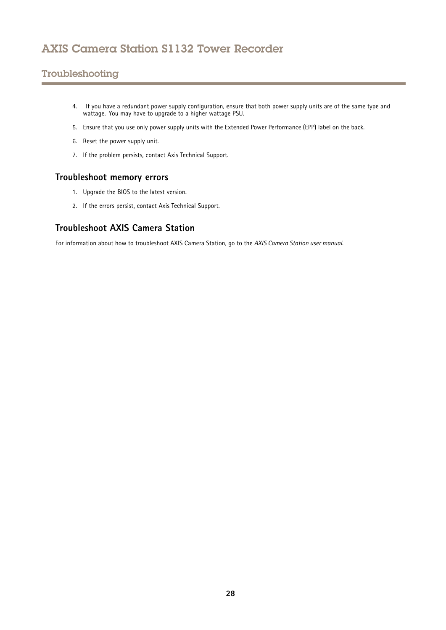## <span id="page-27-0"></span>Troubleshooting

- 4. If you have <sup>a</sup> redundant power supply configuration, ensure that both power supply units are of the same type and wattage. You may have to upgrade to <sup>a</sup> higher wattage PSU.
- 5. Ensure that you use only power supply units with the Extended Power Performance (EPP) label on the back.
- 6. Reset the power supply unit.
- 7. If the problem persists, contact Axis Technical Support.

## **Troubleshoot memory errors**

- 1. Upgrade the BIOS to the latest version.
- 2. If the errors persist, contact Axis Technical Support.

## **Troubleshoot AXIS Camera Station**

For information about how to troubleshoot AXIS Camera Station, go to the *AXIS [Camera](https://www.axis.com/products/online-manual/34074) Station user manual*.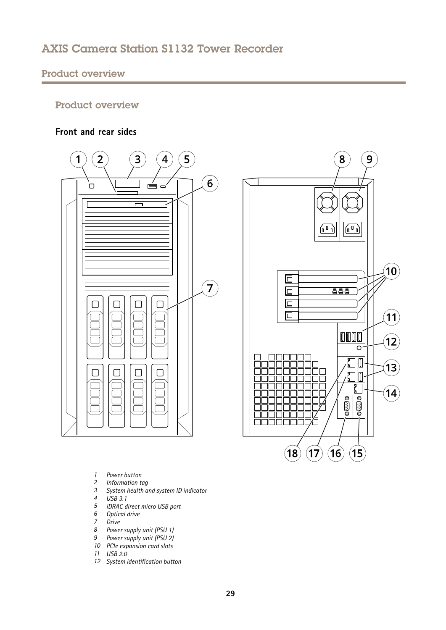## <span id="page-28-0"></span>Product overview

## Product overview

## **Front and rear sides**



- *1 Power button*
- *2 Information tag*
- *3 System health and system ID indicator*
- *4 USB 3.1*
- *5 iDRAC direct micro USB port*
- *6 Optical drive*
- *7 Drive*
- *<sup>8</sup> Power supply unit (PSU 1)*
- *<sup>9</sup> Power supply unit (PSU 2)*
- *10 PCIe expansion card slots*
- *11 USB 2.0*
- *12 System identification button*

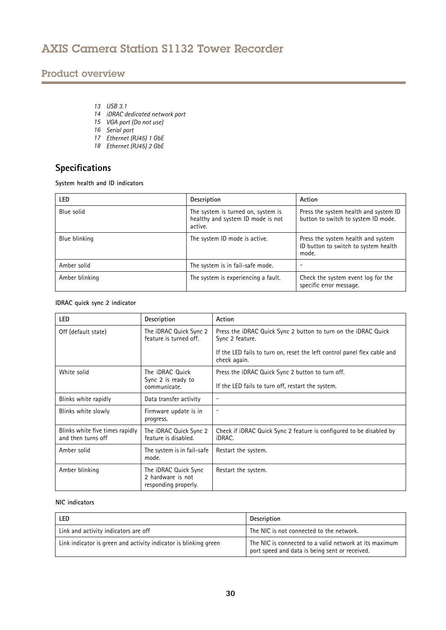## <span id="page-29-0"></span>Product overview

- *13 USB 3.1*
- *14 iDRAC dedicated network port*
- *<sup>15</sup> VGA port (Do not use)*
- *16 Serial port*
- *17 Ethernet (RJ45) 1 GbE*
- *18 Ethernet (RJ45) 2 GbE*

## **Specifications**

**System health and ID indicators**

| LED.           | Description                                                                        | Action                                                                              |
|----------------|------------------------------------------------------------------------------------|-------------------------------------------------------------------------------------|
| Blue solid     | The system is turned on, system is<br>healthy and system ID mode is not<br>active. | Press the system health and system ID<br>button to switch to system ID mode.        |
| Blue blinking  | The system ID mode is active.                                                      | Press the system health and system<br>ID button to switch to system health<br>mode. |
| Amber solid    | The system is in fail-safe mode.                                                   |                                                                                     |
| Amber blinking | The system is experiencing a fault.                                                | Check the system event log for the<br>specific error message.                       |

### **IDRAC quick sync 2 indicator**

| <b>LED</b>                                            | Description                                                       | Action                                                                                          |
|-------------------------------------------------------|-------------------------------------------------------------------|-------------------------------------------------------------------------------------------------|
| Off (default state)                                   | The iDRAC Quick Sync 2<br>feature is turned off.                  | Press the <i>iDRAC</i> Quick Sync 2 button to turn on the <i>iDRAC</i> Quick<br>Sync 2 feature. |
|                                                       |                                                                   | If the LED fails to turn on, reset the left control panel flex cable and<br>check again.        |
| White solid                                           | The <b>iDRAC</b> Quick                                            | Press the iDRAC Quick Sync 2 button to turn off.                                                |
|                                                       | Sync 2 is ready to<br>communicate.                                | If the LED fails to turn off, restart the system.                                               |
| Blinks white rapidly                                  | Data transfer activity                                            | $\overline{\phantom{a}}$                                                                        |
| Blinks white slowly                                   | Firmware update is in<br>progress.                                | $\overline{\phantom{a}}$                                                                        |
| Blinks white five times rapidly<br>and then turns off | The iDRAC Quick Sync 2<br>feature is disabled.                    | Check if iDRAC Quick Sync 2 feature is configured to be disabled by<br>iDRAC.                   |
| Amber solid                                           | The system is in fail-safe<br>mode.                               | Restart the system.                                                                             |
| Amber blinking                                        | The iDRAC Quick Sync<br>2 hardware is not<br>responding properly. | Restart the system.                                                                             |

### **NIC indicators**

| LED                                                              | Description                                                                                              |
|------------------------------------------------------------------|----------------------------------------------------------------------------------------------------------|
| Link and activity indicators are off                             | The NIC is not connected to the network.                                                                 |
| Link indicator is green and activity indicator is blinking green | The NIC is connected to a valid network at its maximum<br>port speed and data is being sent or received. |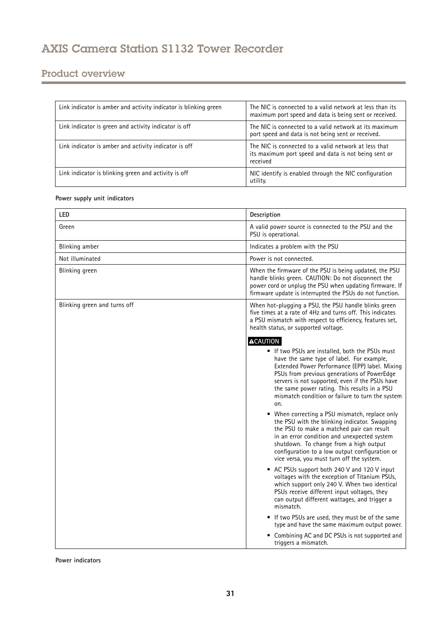## Product overview

| Link indicator is amber and activity indicator is blinking green | The NIC is connected to a valid network at less than its<br>maximum port speed and data is being sent or received.       |
|------------------------------------------------------------------|--------------------------------------------------------------------------------------------------------------------------|
| Link indicator is green and activity indicator is off            | The NIC is connected to a valid network at its maximum<br>port speed and data is not being sent or received.             |
| Link indicator is amber and activity indicator is off            | The NIC is connected to a valid network at less that<br>its maximum port speed and data is not being sent or<br>received |
| Link indicator is blinking green and activity is off             | NIC identify is enabled through the NIC configuration<br>utility.                                                        |

### **Power supply unit indicators**

| LED                          | Description                                                                                                                                                                                                                                                                                                                                                                                                                                                                                                                                                                                                                                                                                                                                                                                                                                                                                                                                                                                                                                                                                                                                                      |
|------------------------------|------------------------------------------------------------------------------------------------------------------------------------------------------------------------------------------------------------------------------------------------------------------------------------------------------------------------------------------------------------------------------------------------------------------------------------------------------------------------------------------------------------------------------------------------------------------------------------------------------------------------------------------------------------------------------------------------------------------------------------------------------------------------------------------------------------------------------------------------------------------------------------------------------------------------------------------------------------------------------------------------------------------------------------------------------------------------------------------------------------------------------------------------------------------|
| Green                        | A valid power source is connected to the PSU and the<br>PSU is operational.                                                                                                                                                                                                                                                                                                                                                                                                                                                                                                                                                                                                                                                                                                                                                                                                                                                                                                                                                                                                                                                                                      |
| Blinking amber               | Indicates a problem with the PSU                                                                                                                                                                                                                                                                                                                                                                                                                                                                                                                                                                                                                                                                                                                                                                                                                                                                                                                                                                                                                                                                                                                                 |
| Not illuminated              | Power is not connected.                                                                                                                                                                                                                                                                                                                                                                                                                                                                                                                                                                                                                                                                                                                                                                                                                                                                                                                                                                                                                                                                                                                                          |
| Blinking green               | When the firmware of the PSU is being updated, the PSU<br>handle blinks green. CAUTION: Do not disconnect the<br>power cord or unplug the PSU when updating firmware. If<br>firmware update is interrupted the PSUs do not function.                                                                                                                                                                                                                                                                                                                                                                                                                                                                                                                                                                                                                                                                                                                                                                                                                                                                                                                             |
| Blinking green and turns off | When hot-plugging a PSU, the PSU handle blinks green<br>five times at a rate of 4Hz and turns off. This indicates<br>a PSU mismatch with respect to efficiency, features set,<br>health status, or supported voltage.                                                                                                                                                                                                                                                                                                                                                                                                                                                                                                                                                                                                                                                                                                                                                                                                                                                                                                                                            |
|                              | <b>ACAUTION</b><br>• If two PSUs are installed, both the PSUs must<br>have the same type of label. For example,<br>Extended Power Performance (EPP) label. Mixing<br>PSUs from previous generations of PowerEdge<br>servers is not supported, even if the PSUs have<br>the same power rating. This results in a PSU<br>mismatch condition or failure to turn the system<br>on.<br>When correcting a PSU mismatch, replace only<br>the PSU with the blinking indicator. Swapping<br>the PSU to make a matched pair can result<br>in an error condition and unexpected system<br>shutdown. To change from a high output<br>configuration to a low output configuration or<br>vice versa, you must turn off the system.<br>• AC PSUs support both 240 V and 120 V input<br>voltages with the exception of Titanium PSUs,<br>which support only 240 V. When two identical<br>PSUs receive different input voltages, they<br>can output different wattages, and trigger a<br>mismatch.<br>• If two PSUs are used, they must be of the same<br>type and have the same maximum output power.<br>• Combining AC and DC PSUs is not supported and<br>triggers a mismatch. |

**Power indicators**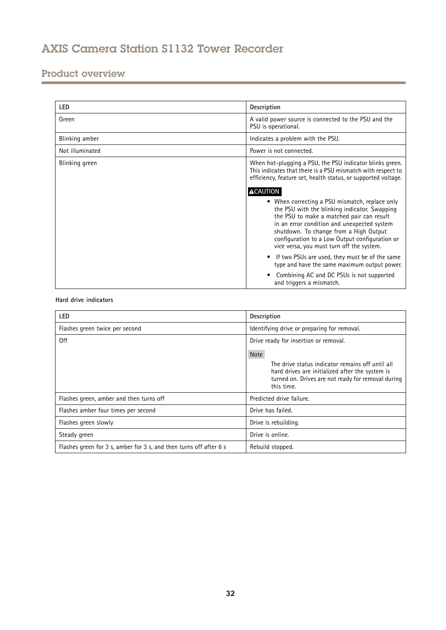## Product overview

| <b>LED</b>      | Description                                                                                                                                                                                                                                                                                                                          |
|-----------------|--------------------------------------------------------------------------------------------------------------------------------------------------------------------------------------------------------------------------------------------------------------------------------------------------------------------------------------|
| Green           | A valid power source is connected to the PSU and the<br>PSU is operational.                                                                                                                                                                                                                                                          |
| Blinking amber  | Indicates a problem with the PSU.                                                                                                                                                                                                                                                                                                    |
| Not illuminated | Power is not connected.                                                                                                                                                                                                                                                                                                              |
| Blinking green  | When hot-plugging a PSU, the PSU indicator blinks green.<br>This indicates that there is a PSU mismatch with respect to<br>efficiency, feature set, health status, or supported voltage.<br><b>ACAUTION</b>                                                                                                                          |
|                 | • When correcting a PSU mismatch, replace only<br>the PSU with the blinking indicator. Swapping<br>the PSU to make a matched pair can result<br>in an error condition and unexpected system<br>shutdown. To change from a High Output<br>configuration to a Low Output configuration or<br>vice versa, you must turn off the system. |
|                 | If two PSUs are used, they must be of the same<br>type and have the same maximum output power.                                                                                                                                                                                                                                       |
|                 | Combining AC and DC PSUs is not supported<br>and triggers a mismatch.                                                                                                                                                                                                                                                                |

### **Hard drive indicators**

| <b>LED</b>                                                         | Description                                                                                                                                                                            |
|--------------------------------------------------------------------|----------------------------------------------------------------------------------------------------------------------------------------------------------------------------------------|
| Flashes green twice per second                                     | Identifying drive or preparing for removal.                                                                                                                                            |
| 0ff                                                                | Drive ready for insertion or removal.                                                                                                                                                  |
|                                                                    | <b>Note</b><br>The drive status indicator remains off until all<br>hard drives are initialized after the system is<br>turned on. Drives are not ready for removal during<br>this time. |
| Flashes green, amber and then turns off                            | Predicted drive failure.                                                                                                                                                               |
| Flashes amber four times per second                                | Drive has failed.                                                                                                                                                                      |
| Flashes green slowly                                               | Drive is rebuilding.                                                                                                                                                                   |
| Steady green                                                       | Drive is online.                                                                                                                                                                       |
| Flashes green for 3 s, amber for 3 s, and then turns off after 6 s | Rebuild stopped.                                                                                                                                                                       |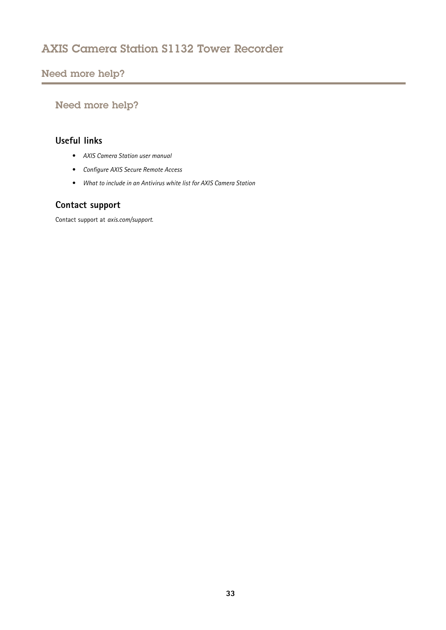## <span id="page-32-0"></span>Need more help?

## Need more help?

## **Useful links**

- *AXIS [Camera](https://www.axis.com/products/online-manual/34074) Station user manual*
- *[Configure](https://www.axis.com/products/online-manual/34074#t10123489) AXIS Secure Remote Access*
- *What to include in an [Antivirus](https://www.axis.com/support/faq/FAQ116307) white list for AXIS Camera Station*

## **Contact support**

Contact support at *[axis.com/support](https://www.axis.com/support)*.